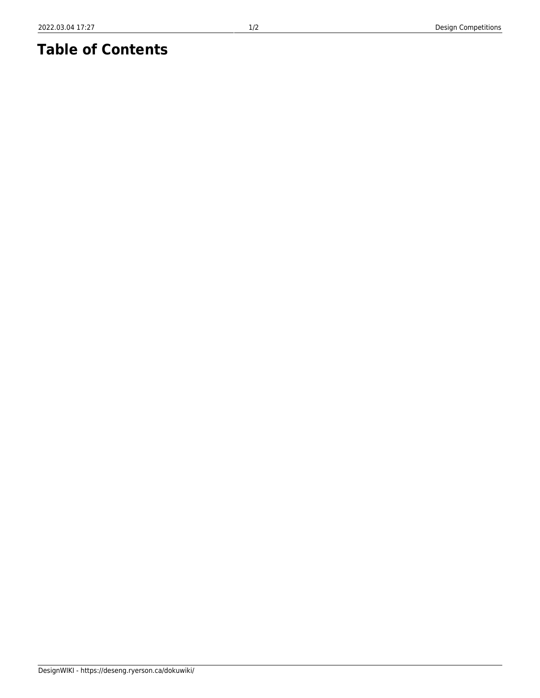# **Table of Contents**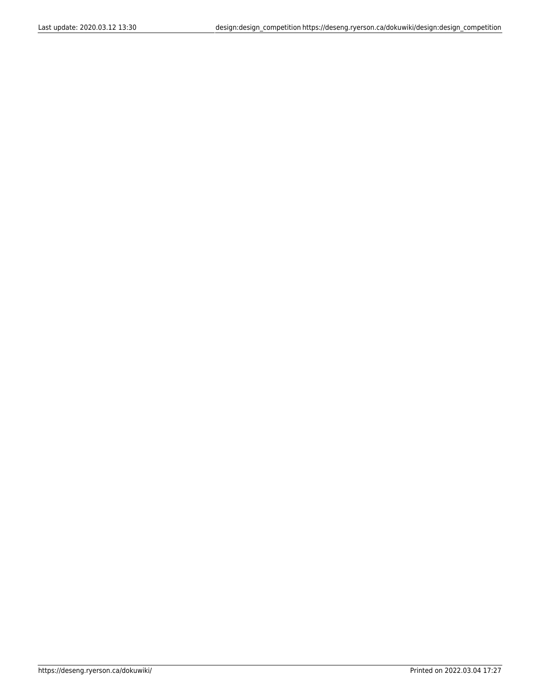https://deseng.ryerson.ca/dokuwiki/ Printed on 2022.03.04 17:27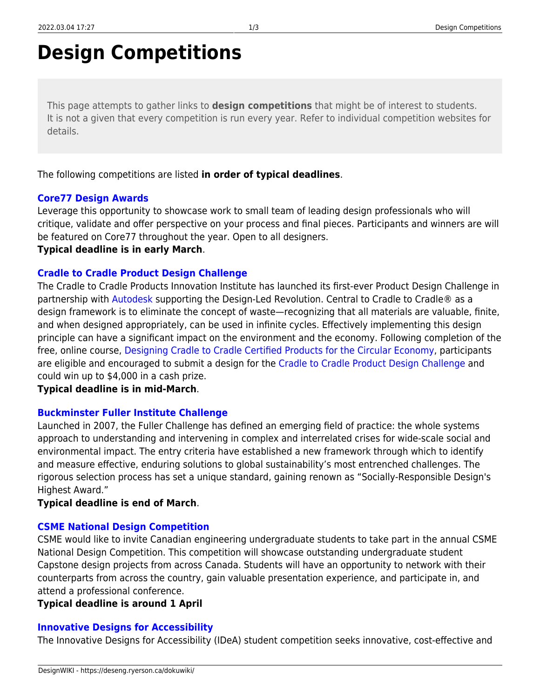# **Design Competitions**

This page attempts to gather links to **design competitions** that might be of interest to students. It is not a given that every competition is run every year. Refer to individual competition websites for details.

The following competitions are listed **in order of typical deadlines**.

# **[Core77 Design Awards](http://designawards.core77.com/)**

Leverage this opportunity to showcase work to small team of leading design professionals who will critique, validate and offer perspective on your process and final pieces. Participants and winners are will be featured on Core77 throughout the year. Open to all designers. **Typical deadline is in early March**.

# **[Cradle to Cradle Product Design Challenge](http://www.c2ccertified.org/challenge)**

The Cradle to Cradle Products Innovation Institute has launched its first-ever Product Design Challenge in partnership with [Autodesk](http://www.autodesk.com/) supporting the Design-Led Revolution. Central to Cradle to Cradle® as a design framework is to eliminate the concept of waste—recognizing that all materials are valuable, finite, and when designed appropriately, can be used in infinite cycles. Effectively implementing this design principle can have a significant impact on the environment and the economy. Following completion of the free, online course, [Designing Cradle to Cradle Certified Products for the Circular Economy](http://education.c2ccertified.org/), participants are eligible and encouraged to submit a design for the [Cradle to Cradle Product Design Challenge](http://www.c2ccertified.org/challenge) and could win up to \$4,000 in a cash prize.

# **Typical deadline is in mid-March**.

# **[Buckminster Fuller Institute Challenge](http://bfi.org/challenge)**

Launched in 2007, the Fuller Challenge has defined an emerging field of practice: the whole systems approach to understanding and intervening in complex and interrelated crises for wide-scale social and environmental impact. The entry criteria have established a new framework through which to identify and measure effective, enduring solutions to global sustainability's most entrenched challenges. The rigorous selection process has set a unique standard, gaining renown as "Socially-Responsible Design's Highest Award."

# **Typical deadline is end of March**.

# **[CSME National Design Competition](http://csme-ndc.ca/)**

CSME would like to invite Canadian engineering undergraduate students to take part in the annual CSME National Design Competition. This competition will showcase outstanding undergraduate student Capstone design projects from across Canada. Students will have an opportunity to network with their counterparts from across the country, gain valuable presentation experience, and participate in, and attend a professional conference.

# **Typical deadline is around 1 April**

# **[Innovative Designs for Accessibility](http://www.accessiblecampus.ca/idea/)**

The Innovative Designs for Accessibility (IDeA) student competition seeks innovative, cost-effective and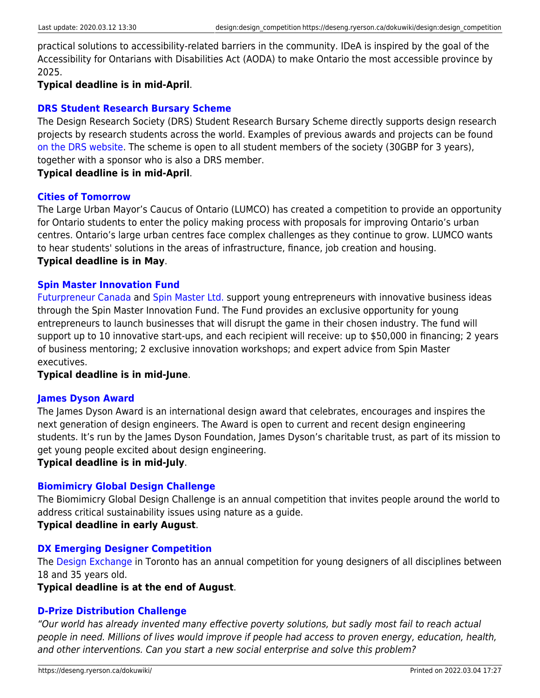practical solutions to accessibility-related barriers in the community. IDeA is inspired by the goal of the Accessibility for Ontarians with Disabilities Act (AODA) to make Ontario the most accessible province by 2025.

**Typical deadline is in mid-April**.

### **[DRS Student Research Bursary Scheme](http://www.designresearchsociety.org/joomla/awards/grants/154-drs-stud-burs.html)**

The Design Research Society (DRS) Student Research Bursary Scheme directly supports design research projects by research students across the world. Examples of previous awards and projects can be found [on the DRS website.](http://www.designresearchsociety.org/joomla/component/content/article/34-about-drs/197-drs-stud-projects-2012.html) The scheme is open to all student members of the society (30GBP for 3 years), together with a sponsor who is also a DRS member.

### **Typical deadline is in mid-April**.

#### **[Cities of Tomorrow](http://citiesoftomorrow.ca/)**

The Large Urban Mayor's Caucus of Ontario (LUMCO) has created a competition to provide an opportunity for Ontario students to enter the policy making process with proposals for improving Ontario's urban centres. Ontario's large urban centres face complex challenges as they continue to grow. LUMCO wants to hear students' solutions in the areas of infrastructure, finance, job creation and housing. **Typical deadline is in May**.

### **[Spin Master Innovation Fund](http://www.spinmasterinnovationfund.ca)**

[Futurpreneur Canada](http://www.futurpreneur.ca/) and [Spin Master Ltd.](http://www.spinmaster.com/) support young entrepreneurs with innovative business ideas through the Spin Master Innovation Fund. The Fund provides an exclusive opportunity for young entrepreneurs to launch businesses that will disrupt the game in their chosen industry. The fund will support up to 10 innovative start-ups, and each recipient will receive: up to \$50,000 in financing; 2 years of business mentoring; 2 exclusive innovation workshops; and expert advice from Spin Master executives.

### **Typical deadline is in mid-June**.

#### **[James Dyson Award](https://jamesdysonaward.org/)**

The James Dyson Award is an international design award that celebrates, encourages and inspires the next generation of design engineers. The Award is open to current and recent design engineering students. It's run by the James Dyson Foundation, James Dyson's charitable trust, as part of its mission to get young people excited about design engineering.

**Typical deadline is in mid-July**.

### **[Biomimicry Global Design Challenge](http://challenge.biomimicry.org/)**

The Biomimicry Global Design Challenge is an annual competition that invites people around the world to address critical sustainability issues using nature as a guide.

### **Typical deadline in early August**.

### **[DX Emerging Designer Competition](http://www.dx.org/index.cfm?pagepath=Competitions/Emerging_Designer_Competition&id=47868)**

The [Design Exchange](http://www.dx.org/) in Toronto has an annual competition for young designers of all disciplines between 18 and 35 years old.

**Typical deadline is at the end of August**.

### **[D-Prize Distribution Challenge](http://www.d-prize.org/)**

"Our world has already invented many effective poverty solutions, but sadly most fail to reach actual people in need. Millions of lives would improve if people had access to proven energy, education, health, and other interventions. Can you start a new social enterprise and solve this problem?